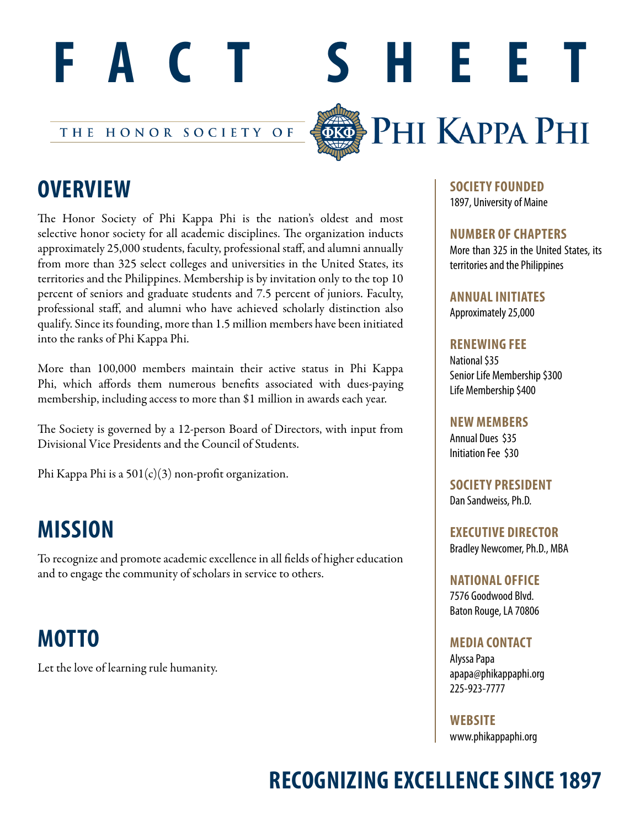

THE HONOR SOCIETY OF



# **OVERVIEW**

The Honor Society of Phi Kappa Phi is the nation's oldest and most selective honor society for all academic disciplines. The organization inducts approximately 25,000 students, faculty, professional staff, and alumni annually from more than 325 select colleges and universities in the United States, its territories and the Philippines. Membership is by invitation only to the top 10 percent of seniors and graduate students and 7.5 percent of juniors. Faculty, professional staff, and alumni who have achieved scholarly distinction also qualify. Since its founding, more than 1.5 million members have been initiated into the ranks of Phi Kappa Phi.

More than 100,000 members maintain their active status in Phi Kappa Phi, which affords them numerous benefits associated with dues-paying membership, including access to more than \$1 million in awards each year.

The Society is governed by a 12-person Board of Directors, with input from Divisional Vice Presidents and the Council of Students.

Phi Kappa Phi is a 501(c)(3) non-profit organization.

### **MISSION**

To recognize and promote academic excellence in all fields of higher education and to engage the community of scholars in service to others.

## **MOTTO**

Let the love of learning rule humanity.

**SOCIETY FOUNDED** 1897, University of Maine

**NUMBER OF CHAPTERS**

More than 325 in the United States, its territories and the Philippines

**ANNUAL INITIATES** Approximately 25,000

#### **RENEWING FEE**

National \$35 Senior Life Membership \$300 Life Membership \$400

**NEW MEMBERS**

Annual Dues \$35 Initiation Fee \$30

**SOCIETY PRESIDENT** Dan Sandweiss, Ph.D.

**EXECUTIVE DIRECTOR** Bradley Newcomer, Ph.D., MBA

**NATIONAL OFFICE** 7576 Goodwood Blvd. Baton Rouge, LA 70806

### **MEDIA CONTACT**

Alyssa Papa apapa@phikappaphi.org 225-923-7777

**WEBSITE**

www.phikappaphi.org

## **RECOGNIZING EXCELLENCE SINCE 1897**